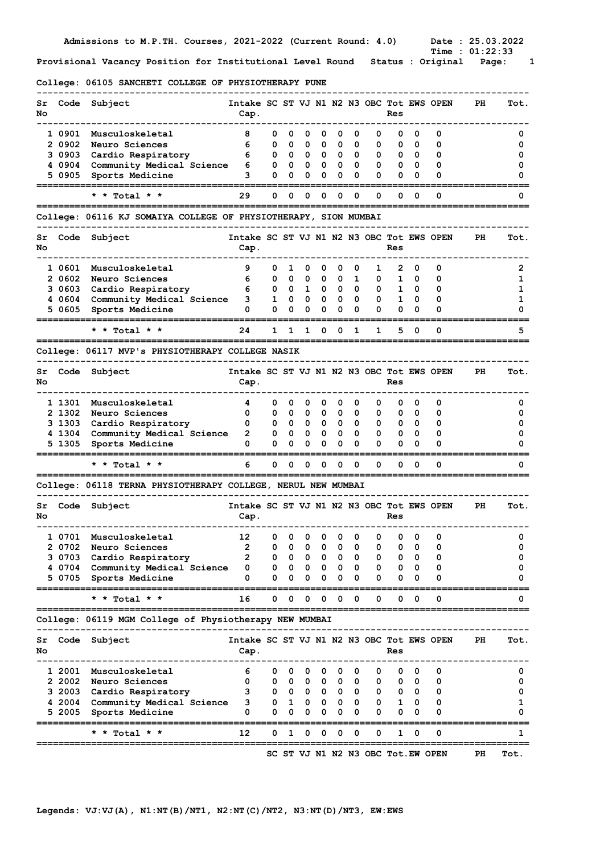College: 06105 SANCHETI COLLEGE OF PHYSIOTHERAPY PUNE

| Sr<br>No | Code             | Subject                                                         | Intake SC ST VJ N1 N2 N3 OBC Tot EWS OPEN<br>Cap. |        |        |                              |                         |                         |                         |        | Res          |        |                                   | PH  | Tot.   |
|----------|------------------|-----------------------------------------------------------------|---------------------------------------------------|--------|--------|------------------------------|-------------------------|-------------------------|-------------------------|--------|--------------|--------|-----------------------------------|-----|--------|
|          | 1 0901           | Musculoskeletal                                                 | 8                                                 | 0      | 0      | 0                            | 0                       | 0                       | 0                       | 0      | 0            | 0      | 0                                 |     | 0      |
|          | 2 0902           | Neuro Sciences                                                  | 6                                                 | 0      | 0      | 0                            | 0                       | 0                       | 0                       | 0      | 0            | 0      | 0                                 |     | 0      |
|          | 3 0903<br>4 0904 | Cardio Respiratory<br>Community Medical Science                 | 6<br>6                                            | 0<br>0 | 0<br>0 | 0<br>$\overline{\mathbf{0}}$ | 0<br>0                  | 0<br>0                  | 0<br>0                  | 0<br>0 | 0<br>0       | 0<br>0 | 0<br>0                            |     | 0<br>0 |
|          | 5 0905           | Sports Medicine                                                 | 3                                                 | 0      | 0      | 0                            | 0                       | 0                       | 0                       | 0      | 0            | 0      | 0                                 |     | 0      |
|          |                  |                                                                 |                                                   |        |        |                              |                         |                         |                         |        |              |        |                                   |     |        |
|          |                  | * * Total * *                                                   | 29                                                | 0      | 0      | 0                            | 0                       | 0                       | 0                       | 0      | 0            | 0      | 0                                 |     | 0      |
|          |                  | College: 06116 KJ SOMAIYA COLLEGE OF PHYSIOTHERAPY, SION MUMBAI |                                                   |        |        |                              |                         |                         |                         |        |              |        |                                   |     |        |
| Sr<br>No | Code             | Subject                                                         | Intake SC ST VJ N1 N2 N3 OBC Tot EWS OPEN<br>Cap. |        |        |                              |                         |                         |                         |        | Res          |        |                                   | PH  | Tot.   |
|          | 1 0601           | Musculoskeletal                                                 | 9                                                 | 0      | 1      | 0                            | 0                       | 0                       | 0                       | 1      | 2            | 0      | 0                                 |     | 2      |
|          | 2 0602           | Neuro Sciences                                                  | 6                                                 | 0      | 0      | 0                            | 0                       | 0                       | 1                       | 0      | 1            | 0      | 0                                 |     | 1      |
|          | 3 0603           | Cardio Respiratory                                              | 6                                                 | 0      | 0      | $\mathbf{1}$                 | 0                       | 0                       | 0                       | 0      | 1            | 0      | 0                                 |     | 1      |
|          | 4 0604           | Community Medical Science                                       | з                                                 | 1      | 0      | 0                            | 0                       | 0                       | 0                       | 0      | $\mathbf{1}$ | 0      | 0                                 |     | 1      |
|          | 5 0605           | Sports Medicine                                                 | 0                                                 | 0      | 0      | 0                            | 0                       | 0                       | 0                       | 0      | 0            | 0      | 0                                 |     | 0      |
|          |                  | * * Total * *                                                   | 24                                                | 1      | 1      | 1                            | 0                       | 0                       | 1                       | 1      | 5            | 0      | 0                                 |     | 5      |
|          |                  | College: 06117 MVP's PHYSIOTHERAPY COLLEGE NASIK                |                                                   |        |        |                              |                         |                         |                         |        |              |        |                                   |     |        |
| Sr<br>No | Code             | Subject                                                         | Intake SC ST VJ N1 N2 N3 OBC Tot EWS OPEN<br>Cap. |        |        |                              |                         |                         |                         |        | Res          |        |                                   | PH  | Tot.   |
|          | 1 1301           | Musculoskeletal                                                 | 4                                                 | 0      | 0      | 0                            | 0                       | 0                       | 0                       | 0      | 0            | 0      | 0                                 |     | 0      |
|          | 2 1302           | Neuro Sciences                                                  | 0                                                 | 0      | 0      | 0                            | 0                       | 0                       | 0                       | 0      | 0            | 0      | 0                                 |     | 0      |
|          | 3 1303           | Cardio Respiratory                                              | 0                                                 | 0      | 0      | $\mathbf{0}$                 | 0                       | 0                       | 0                       | 0      | 0            | 0      | 0                                 |     | 0      |
|          | 4 1304<br>5 1305 | Community Medical Science<br>Sports Medicine                    | 2<br>0                                            | 0<br>0 | 0<br>0 | 0<br>0                       | 0<br>0                  | 0<br>0                  | 0<br>0                  | 0<br>0 | 0<br>0       | 0<br>0 | 0<br>0                            |     | 0<br>0 |
|          |                  | * * Total * *                                                   | 6                                                 | 0      | 0      | 0                            | 0                       | 0                       | 0                       | 0      | 0            | 0      | 0                                 |     | 0      |
|          |                  | College: 06118 TERNA PHYSIOTHERAPY COLLEGE, NERUL NEW MUMBAI    |                                                   |        |        |                              |                         |                         |                         |        |              |        |                                   |     |        |
| Sr       |                  | Code Subject                                                    | Intake SC ST VJ N1 N2 N3 OBC Tot EWS OPEN         |        |        |                              |                         |                         |                         |        |              |        |                                   | PH. | Tot.   |
| No       |                  |                                                                 | Cap.                                              |        |        |                              |                         |                         |                         |        | Res          |        |                                   |     |        |
|          |                  | 1 0701 Musculoskeletal                                          | 12                                                | 0      | 0      | 0                            | $\overline{\mathbf{0}}$ | $\overline{\mathbf{0}}$ | $\overline{\mathbf{0}}$ | 0      | 0            | 0      | 0                                 |     | 0      |
|          | 2 0702           | Neuro Sciences                                                  | 2                                                 | 0      | 0      | 0                            | 0                       | 0                       | 0                       | 0      | 0            | 0      | 0                                 |     | 0      |
|          | 3 0703           | Cardio Respiratory                                              | 2                                                 | 0      | 0      | 0                            | 0                       | 0                       | 0                       | 0      | 0            | 0      | 0                                 |     | 0      |
|          | 4 0704<br>5 0705 | Community Medical Science<br>Sports Medicine                    | 0<br>0                                            | 0<br>0 | 0<br>0 | 0<br>0                       | 0<br>0                  | 0<br>0                  | 0<br>0                  | 0<br>0 | 0<br>0       | 0<br>0 | 0<br>0                            |     | 0<br>0 |
|          |                  | Total *                                                         | 16                                                | 0      | 0      | 0                            | 0                       | 0                       | 0                       | 0      | 0            | 0      | 0                                 |     | 0      |
|          |                  | College: 06119 MGM College of Physiotherapy NEW MUMBAI          |                                                   |        |        |                              |                         |                         |                         |        |              |        |                                   |     |        |
| Sr       | Code             | Subject                                                         | Intake SC ST VJ N1 N2 N3 OBC Tot EWS OPEN         |        |        |                              |                         |                         |                         |        |              |        |                                   | PH  | Tot.   |
| No       |                  |                                                                 | Cap.                                              |        |        |                              |                         |                         |                         |        | Res          |        |                                   |     |        |
|          | 1 2001           | Musculoskeletal                                                 | 6                                                 | 0      | 0      | 0                            | 0                       | 0                       | 0                       | 0      | 0            | 0      | 0                                 |     | 0      |
|          | 2 2002           | Neuro Sciences                                                  | 0                                                 | 0      | 0      | 0                            | 0                       | 0                       | 0                       | 0      | 0            | 0      | 0                                 |     | 0      |
|          | 3 2003           | Cardio Respiratory                                              | з                                                 | 0      | 0      | $\overline{\mathbf{0}}$      | 0                       | 0                       | 0                       | 0      | 0            | 0      | 0                                 |     | 0      |
|          | 4 2004           | Community Medical Science                                       | з                                                 | 0      | 1      | 0                            | 0                       | 0                       | 0                       | 0      | 1            | 0      | 0                                 |     | 1      |
|          | 5 2005           | Sports Medicine                                                 | 0                                                 | 0      | 0      | 0                            | 0                       | 0                       | 0                       | 0      | 0            | 0      | 0                                 |     | 0      |
|          |                  | Total *                                                         | 12                                                | 0      | 1      | 0                            | 0                       | 0                       | 0                       | 0      | 1            | 0      | 0                                 |     | 1      |
|          |                  |                                                                 |                                                   |        |        |                              |                         |                         |                         |        |              |        | SC ST VJ N1 N2 N3 OBC Tot.EW OPEN | PH  | Tot.   |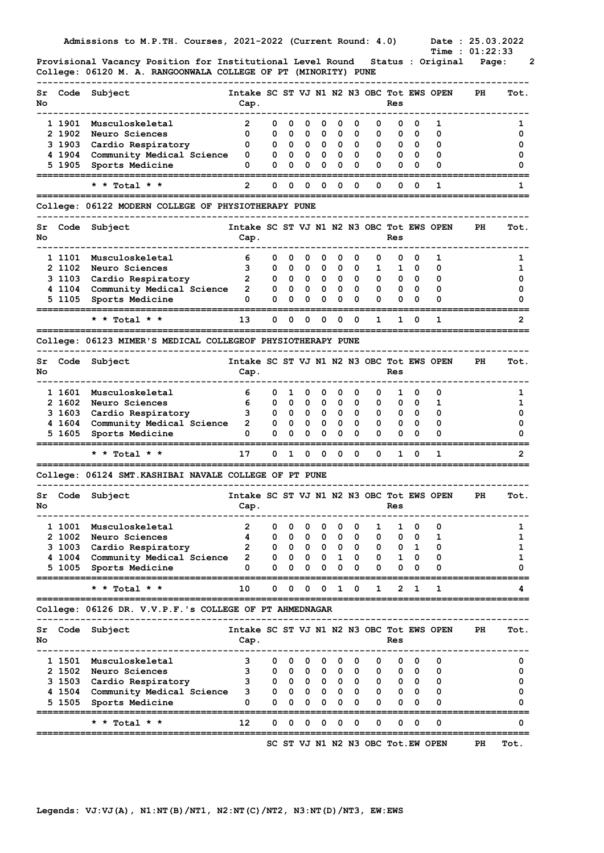Time :  $01:22:33$ Provisional Vacancy Position for Institutional Level Round Status : Original Page: 2 College: 06120 M. A. RANGOONWALA COLLEGE OF PT (MINORITY) PUNE

| Code<br>Subject<br>Intake SC ST VJ N1 N2 N3 OBC Tot EWS OPEN<br>PH<br>Sr<br>No<br>Cap.<br>Res<br>1 1901<br>Musculoskeletal<br>2<br>0<br>0<br>0<br>0<br>0<br>0<br>0<br>0<br>0<br>1<br>2 1902<br>Neuro Sciences<br>0<br>0<br>0<br>0<br>0<br>0<br>0<br>0<br>0<br>0<br>0<br>3 1903<br>0<br>Cardio Respiratory<br>0<br>0<br>$\mathbf{0}$<br>0<br>0<br>0<br>0<br>0<br>0<br>0<br>4 1904<br>Community Medical Science<br>0<br>0<br>0<br>0<br>0<br>- 0<br>0<br>0<br>0<br>0<br>0<br>5 1905<br>0<br>0<br>0<br>0<br>Sports Medicine<br>0<br>0<br>0<br>0<br>0<br>0<br>0<br>2<br>0<br>0<br>1<br>* * Total * *<br>0<br>0<br>0<br>0<br>0<br>0<br>0<br>College: 06122 MODERN COLLEGE OF PHYSIOTHERAPY PUNE<br>Intake SC ST VJ N1 N2 N3 OBC Tot EWS OPEN<br>Code<br>Subject<br>PH<br>Sr<br>Cap.<br>Res<br>6<br>1 1101<br>Musculoskeletal<br>0<br>0<br>0<br>0<br>0<br>0<br>1<br>0<br>0<br>0<br>2 1102<br>3<br>0<br>Neuro Sciences<br>0<br>0<br>0<br>0<br>0<br>1<br>1<br>0<br>0<br>2<br>3 1103<br>Cardio Respiratory<br>0<br>0<br>0<br>0<br>0<br>0<br>0<br>$\mathbf 0$<br>0<br>0<br>4 1104<br>Community Medical Science<br>2<br>0<br>0<br>0<br>0<br>0<br>0<br>0<br>$\mathbf 0$<br>0<br>0<br>0<br>0<br>5 1105<br>Sports Medicine<br>0<br>0<br>0<br>0<br>0<br>0<br>0<br>0<br>0<br>13<br>* * Total * *<br>0<br>0<br>0<br>0<br>0<br>0<br>0<br>1<br>1<br>1 | Tot.<br>1<br>0<br>0<br>0<br>0<br>1<br>Tot.<br>1<br>1<br>0<br>0 |
|-----------------------------------------------------------------------------------------------------------------------------------------------------------------------------------------------------------------------------------------------------------------------------------------------------------------------------------------------------------------------------------------------------------------------------------------------------------------------------------------------------------------------------------------------------------------------------------------------------------------------------------------------------------------------------------------------------------------------------------------------------------------------------------------------------------------------------------------------------------------------------------------------------------------------------------------------------------------------------------------------------------------------------------------------------------------------------------------------------------------------------------------------------------------------------------------------------------------------------------------------------------------------------------------------------------------------------------|----------------------------------------------------------------|
| No                                                                                                                                                                                                                                                                                                                                                                                                                                                                                                                                                                                                                                                                                                                                                                                                                                                                                                                                                                                                                                                                                                                                                                                                                                                                                                                                |                                                                |
|                                                                                                                                                                                                                                                                                                                                                                                                                                                                                                                                                                                                                                                                                                                                                                                                                                                                                                                                                                                                                                                                                                                                                                                                                                                                                                                                   |                                                                |
|                                                                                                                                                                                                                                                                                                                                                                                                                                                                                                                                                                                                                                                                                                                                                                                                                                                                                                                                                                                                                                                                                                                                                                                                                                                                                                                                   |                                                                |
|                                                                                                                                                                                                                                                                                                                                                                                                                                                                                                                                                                                                                                                                                                                                                                                                                                                                                                                                                                                                                                                                                                                                                                                                                                                                                                                                   |                                                                |
|                                                                                                                                                                                                                                                                                                                                                                                                                                                                                                                                                                                                                                                                                                                                                                                                                                                                                                                                                                                                                                                                                                                                                                                                                                                                                                                                   |                                                                |
|                                                                                                                                                                                                                                                                                                                                                                                                                                                                                                                                                                                                                                                                                                                                                                                                                                                                                                                                                                                                                                                                                                                                                                                                                                                                                                                                   |                                                                |
|                                                                                                                                                                                                                                                                                                                                                                                                                                                                                                                                                                                                                                                                                                                                                                                                                                                                                                                                                                                                                                                                                                                                                                                                                                                                                                                                   |                                                                |
|                                                                                                                                                                                                                                                                                                                                                                                                                                                                                                                                                                                                                                                                                                                                                                                                                                                                                                                                                                                                                                                                                                                                                                                                                                                                                                                                   |                                                                |
|                                                                                                                                                                                                                                                                                                                                                                                                                                                                                                                                                                                                                                                                                                                                                                                                                                                                                                                                                                                                                                                                                                                                                                                                                                                                                                                                   |                                                                |
|                                                                                                                                                                                                                                                                                                                                                                                                                                                                                                                                                                                                                                                                                                                                                                                                                                                                                                                                                                                                                                                                                                                                                                                                                                                                                                                                   |                                                                |
|                                                                                                                                                                                                                                                                                                                                                                                                                                                                                                                                                                                                                                                                                                                                                                                                                                                                                                                                                                                                                                                                                                                                                                                                                                                                                                                                   |                                                                |
|                                                                                                                                                                                                                                                                                                                                                                                                                                                                                                                                                                                                                                                                                                                                                                                                                                                                                                                                                                                                                                                                                                                                                                                                                                                                                                                                   |                                                                |
|                                                                                                                                                                                                                                                                                                                                                                                                                                                                                                                                                                                                                                                                                                                                                                                                                                                                                                                                                                                                                                                                                                                                                                                                                                                                                                                                   |                                                                |
|                                                                                                                                                                                                                                                                                                                                                                                                                                                                                                                                                                                                                                                                                                                                                                                                                                                                                                                                                                                                                                                                                                                                                                                                                                                                                                                                   |                                                                |
|                                                                                                                                                                                                                                                                                                                                                                                                                                                                                                                                                                                                                                                                                                                                                                                                                                                                                                                                                                                                                                                                                                                                                                                                                                                                                                                                   | 0                                                              |
|                                                                                                                                                                                                                                                                                                                                                                                                                                                                                                                                                                                                                                                                                                                                                                                                                                                                                                                                                                                                                                                                                                                                                                                                                                                                                                                                   |                                                                |
|                                                                                                                                                                                                                                                                                                                                                                                                                                                                                                                                                                                                                                                                                                                                                                                                                                                                                                                                                                                                                                                                                                                                                                                                                                                                                                                                   | 2                                                              |
| College: 06123 MIMER'S MEDICAL COLLEGEOF PHYSIOTHERAPY PUNE                                                                                                                                                                                                                                                                                                                                                                                                                                                                                                                                                                                                                                                                                                                                                                                                                                                                                                                                                                                                                                                                                                                                                                                                                                                                       |                                                                |
| Code<br>Subject<br>Intake SC ST VJ N1 N2 N3 OBC Tot EWS OPEN<br>PH<br>Sr<br>No<br>Cap.<br>Res                                                                                                                                                                                                                                                                                                                                                                                                                                                                                                                                                                                                                                                                                                                                                                                                                                                                                                                                                                                                                                                                                                                                                                                                                                     | Tot.                                                           |
| 1 1601<br>Musculoskeletal<br>6<br>0<br>1<br>0<br>0<br>0<br>0<br>1<br>0<br>0<br>0                                                                                                                                                                                                                                                                                                                                                                                                                                                                                                                                                                                                                                                                                                                                                                                                                                                                                                                                                                                                                                                                                                                                                                                                                                                  | 1                                                              |
| 2 1602<br>6<br>Neuro Sciences<br>0<br>0<br>$\mathbf{0}$<br>0<br>0<br>0<br>0<br>0<br>1<br>0                                                                                                                                                                                                                                                                                                                                                                                                                                                                                                                                                                                                                                                                                                                                                                                                                                                                                                                                                                                                                                                                                                                                                                                                                                        | 1                                                              |
| 3<br>3 1603<br>Cardio Respiratory<br>$\mathbf{0}$<br>0<br>0<br>0<br>0<br>0<br>0<br>0<br>0<br>0                                                                                                                                                                                                                                                                                                                                                                                                                                                                                                                                                                                                                                                                                                                                                                                                                                                                                                                                                                                                                                                                                                                                                                                                                                    | 0                                                              |
| 4 1604<br>2<br>0<br>Community Medical Science<br>$\mathbf 0$<br>0<br>0<br>0<br>0<br>0<br>0<br>0<br>0                                                                                                                                                                                                                                                                                                                                                                                                                                                                                                                                                                                                                                                                                                                                                                                                                                                                                                                                                                                                                                                                                                                                                                                                                              | 0                                                              |
| 0<br>0<br>0<br>0<br>0<br>5 1605<br>0<br>0<br>0<br>0<br>0<br>0<br>Sports Medicine                                                                                                                                                                                                                                                                                                                                                                                                                                                                                                                                                                                                                                                                                                                                                                                                                                                                                                                                                                                                                                                                                                                                                                                                                                                  | 0                                                              |
| * * Total * *<br>17<br>0<br>1<br>0<br>0<br>0<br>1<br>0<br>0<br>0<br>1                                                                                                                                                                                                                                                                                                                                                                                                                                                                                                                                                                                                                                                                                                                                                                                                                                                                                                                                                                                                                                                                                                                                                                                                                                                             | 2                                                              |
| College: 06124 SMT. KASHIBAI NAVALE COLLEGE OF PT PUNE                                                                                                                                                                                                                                                                                                                                                                                                                                                                                                                                                                                                                                                                                                                                                                                                                                                                                                                                                                                                                                                                                                                                                                                                                                                                            |                                                                |
| Intake SC ST VJ N1 N2 N3 OBC Tot EWS OPEN<br>Code<br>Subject<br>PH<br>Sr<br>No<br>Cap.<br>Res                                                                                                                                                                                                                                                                                                                                                                                                                                                                                                                                                                                                                                                                                                                                                                                                                                                                                                                                                                                                                                                                                                                                                                                                                                     | Tot.                                                           |
| 1 1001<br>2<br>0<br>0<br>1<br>Musculoskeletal<br>0<br>$\mathbf 0$<br>0<br>$\mathbf{0}$<br>1<br>0<br>0                                                                                                                                                                                                                                                                                                                                                                                                                                                                                                                                                                                                                                                                                                                                                                                                                                                                                                                                                                                                                                                                                                                                                                                                                             | 1                                                              |
| 2 1002<br>Neuro Sciences<br>4<br>0<br>0<br>0<br>1<br>0<br>0<br>0<br>0<br>0<br>o                                                                                                                                                                                                                                                                                                                                                                                                                                                                                                                                                                                                                                                                                                                                                                                                                                                                                                                                                                                                                                                                                                                                                                                                                                                   | 1                                                              |
| 3 1003<br>2<br>Cardio Respiratory<br>0<br>0<br>1<br>0<br>0<br>0<br>0<br>0<br>0<br>0                                                                                                                                                                                                                                                                                                                                                                                                                                                                                                                                                                                                                                                                                                                                                                                                                                                                                                                                                                                                                                                                                                                                                                                                                                               | 1                                                              |
| 2<br>4 1004<br>Community Medical Science<br>0<br>0<br>$\overline{\mathbf{0}}$<br>0<br>1<br>0<br>0<br>1<br>0<br>0                                                                                                                                                                                                                                                                                                                                                                                                                                                                                                                                                                                                                                                                                                                                                                                                                                                                                                                                                                                                                                                                                                                                                                                                                  | 1                                                              |
| 0<br>5 1005<br>Sports Medicine<br>0<br>0<br>0<br>0<br>0<br>0<br>0<br>0<br>0<br>0<br>=========                                                                                                                                                                                                                                                                                                                                                                                                                                                                                                                                                                                                                                                                                                                                                                                                                                                                                                                                                                                                                                                                                                                                                                                                                                     | 0                                                              |
| Total $*$ $*$<br>10<br>0<br>0<br>0<br>0<br>0<br>1<br>2<br>1<br>1<br>1<br>-------                                                                                                                                                                                                                                                                                                                                                                                                                                                                                                                                                                                                                                                                                                                                                                                                                                                                                                                                                                                                                                                                                                                                                                                                                                                  | 4                                                              |
| College: 06126 DR. V.V.P.F.'s COLLEGE OF PT AHMEDNAGAR                                                                                                                                                                                                                                                                                                                                                                                                                                                                                                                                                                                                                                                                                                                                                                                                                                                                                                                                                                                                                                                                                                                                                                                                                                                                            |                                                                |
| Subject<br>Intake SC ST VJ N1 N2 N3 OBC Tot EWS OPEN<br>Code<br>PH<br>Sr<br>No<br>Cap.<br>Res                                                                                                                                                                                                                                                                                                                                                                                                                                                                                                                                                                                                                                                                                                                                                                                                                                                                                                                                                                                                                                                                                                                                                                                                                                     | Tot.                                                           |
|                                                                                                                                                                                                                                                                                                                                                                                                                                                                                                                                                                                                                                                                                                                                                                                                                                                                                                                                                                                                                                                                                                                                                                                                                                                                                                                                   | 0                                                              |
| 3<br>1 1501<br>Musculoskeletal<br>0<br>0<br>$\mathbf 0$<br>0<br>0<br>0<br>0<br>0<br>0<br>0                                                                                                                                                                                                                                                                                                                                                                                                                                                                                                                                                                                                                                                                                                                                                                                                                                                                                                                                                                                                                                                                                                                                                                                                                                        | 0                                                              |
| 2 1502<br>3<br>0<br>0<br>$\overline{\mathbf{0}}$<br>0<br>$\mathbf{0}$<br>0<br>0<br>0<br>0<br>0                                                                                                                                                                                                                                                                                                                                                                                                                                                                                                                                                                                                                                                                                                                                                                                                                                                                                                                                                                                                                                                                                                                                                                                                                                    | 0                                                              |
| Neuro Sciences<br>3<br>3 1503<br>$\mathbf{0}$<br>0<br>0<br>$0\quad 0$<br>0<br>$\mathbf{0}$<br>0<br>0<br>0                                                                                                                                                                                                                                                                                                                                                                                                                                                                                                                                                                                                                                                                                                                                                                                                                                                                                                                                                                                                                                                                                                                                                                                                                         |                                                                |
| Cardio Respiratory<br>4 1504<br>з<br>0<br>$\overline{\mathbf{0}}$<br>0<br>0<br>0<br>0<br>0<br>0<br>0<br>0                                                                                                                                                                                                                                                                                                                                                                                                                                                                                                                                                                                                                                                                                                                                                                                                                                                                                                                                                                                                                                                                                                                                                                                                                         | 0                                                              |
| Community Medical Science<br>5 1505<br>0<br>0<br>0<br>Sports Medicine<br>0<br>0<br>0<br>0<br>0<br>0<br>0<br>0                                                                                                                                                                                                                                                                                                                                                                                                                                                                                                                                                                                                                                                                                                                                                                                                                                                                                                                                                                                                                                                                                                                                                                                                                     | 0                                                              |
| ===========<br>12<br>٥<br>* * Total * *<br>0<br>0<br>0<br>0<br>0<br>0<br>0<br>0<br>0                                                                                                                                                                                                                                                                                                                                                                                                                                                                                                                                                                                                                                                                                                                                                                                                                                                                                                                                                                                                                                                                                                                                                                                                                                              | 0                                                              |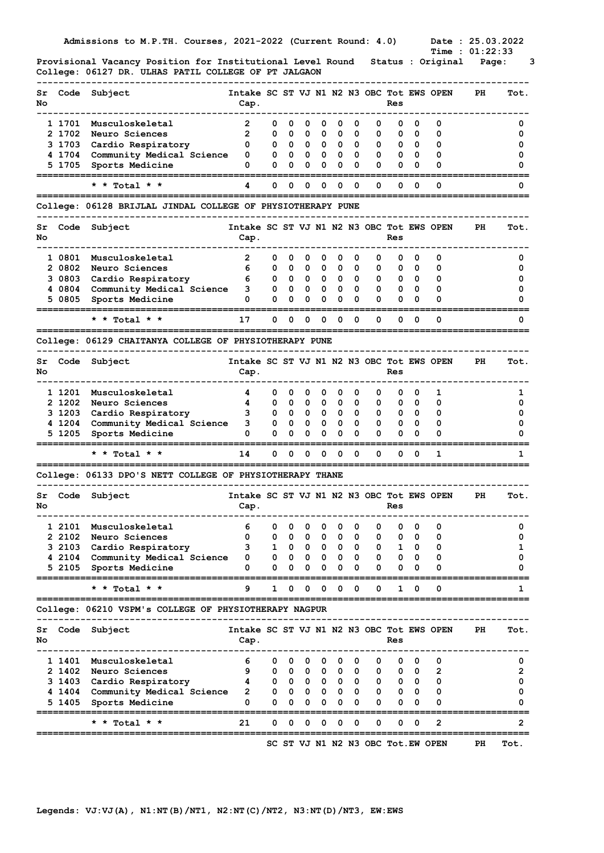|          |                  | Admissions to M.P.TH. Courses, 2021-2022 (Current Round: 4.0)<br>Provisional Vacancy Position for Institutional Level Round |                                                   |              |        |                              |                         |                                             |        |        |                   |                          | Date: 25.03.2022<br><b>Time : 01:22:33</b><br>Status : Original | Page: | з      |
|----------|------------------|-----------------------------------------------------------------------------------------------------------------------------|---------------------------------------------------|--------------|--------|------------------------------|-------------------------|---------------------------------------------|--------|--------|-------------------|--------------------------|-----------------------------------------------------------------|-------|--------|
|          |                  | College: 06127 DR. ULHAS PATIL COLLEGE OF PT JALGAON                                                                        |                                                   |              |        |                              |                         |                                             |        |        |                   |                          |                                                                 |       |        |
| Sr<br>No | Code             | Subject                                                                                                                     | Intake SC ST VJ N1 N2 N3 OBC Tot EWS OPEN<br>Cap. |              |        |                              |                         |                                             |        |        | Res               |                          |                                                                 | PH    | Tot.   |
|          | 1 1701           | Musculoskeletal                                                                                                             | 2                                                 | 0            | 0      | 0                            | 0                       | 0                                           | 0      | 0      | 0                 | 0                        | 0                                                               |       | 0      |
|          | 2 1702           | Neuro Sciences                                                                                                              | 2                                                 | 0            | 0      | 0                            | 0                       | 0                                           | 0      | 0      | 0                 | 0                        | 0                                                               |       | 0      |
|          | 3 1703<br>41704  | Cardio Respiratory<br>Community Medical Science                                                                             | 0<br>0                                            | 0<br>0       | 0<br>0 | $\overline{\mathbf{0}}$<br>0 | $\mathbf{0}$<br>0       | 0<br>0                                      | 0<br>0 | 0<br>0 | 0<br>0            | 0<br>0                   | 0<br>0                                                          |       | 0<br>0 |
|          | 5 1705           | Sports Medicine                                                                                                             | 0                                                 | 0            | 0      | 0                            | 0                       | 0                                           | 0      | 0      | 0                 | 0                        | 0                                                               |       | O      |
|          |                  | * * Total * *                                                                                                               | 4                                                 | 0            | 0      | 0                            | 0                       | 0                                           | 0      | 0      | 0                 | 0                        | 0                                                               |       | 0      |
|          |                  | College: 06128 BRIJLAL JINDAL COLLEGE OF PHYSIOTHERAPY PUNE                                                                 |                                                   |              |        |                              |                         |                                             |        |        |                   |                          |                                                                 |       |        |
| Sr<br>No | Code             | Subject                                                                                                                     | Intake SC ST VJ N1 N2 N3 OBC Tot EWS OPEN<br>Cap. |              |        |                              |                         |                                             |        |        | Res               |                          |                                                                 | PH.   | Tot.   |
|          | 1 0801           | Musculoskeletal                                                                                                             | 2                                                 | 0            | 0      | 0                            | 0                       | 0                                           | 0      | 0      | 0                 | 0                        | 0                                                               |       | 0      |
|          | 2 0802           | Neuro Sciences                                                                                                              | 6                                                 | 0            | 0      | 0                            | 0                       | 0                                           | 0      | 0      | 0                 | 0                        | 0                                                               |       | 0      |
|          | 3 0803           | Cardio Respiratory                                                                                                          | 6                                                 | 0            | 0      | $\mathbf{0}$                 | $\overline{\mathbf{0}}$ | 0                                           | 0      | 0      | 0                 | $\mathbf 0$              | 0                                                               |       | 0      |
|          | 40804<br>5 0805  | Community Medical Science<br>Sports Medicine                                                                                | 3<br>0                                            | 0<br>0       | 0<br>0 | 0<br>0                       | 0<br>0                  | 0<br>0                                      | 0<br>0 | 0<br>0 | 0<br>0            | 0<br>0                   | 0<br>0                                                          |       | 0<br>o |
|          |                  | * * Total * *                                                                                                               | 17                                                | 0            | 0      | 0                            | 0                       | 0                                           | 0      | 0      | 0                 | 0                        | 0                                                               |       | 0      |
|          |                  | College: 06129 CHAITANYA COLLEGE OF PHYSIOTHERAPY PUNE                                                                      |                                                   |              |        |                              |                         |                                             |        |        |                   |                          |                                                                 |       |        |
|          |                  |                                                                                                                             | Intake SC ST VJ N1 N2 N3 OBC Tot EWS OPEN         |              |        |                              |                         |                                             |        |        |                   |                          |                                                                 | PH    |        |
| Sr<br>No | Code             | Subject                                                                                                                     | Cap.                                              |              |        |                              |                         |                                             |        |        | Res               |                          |                                                                 |       | Tot.   |
|          | 1 1201           | Musculoskeletal                                                                                                             | 4                                                 | 0            | 0      | 0                            | $\mathbf 0$             | 0                                           | 0      | 0      | 0                 | 0                        | 1                                                               |       | 1      |
|          | 2 1202           | Neuro Sciences                                                                                                              | 4                                                 | 0            | 0      | 0                            | 0                       | 0                                           | 0      | 0      | 0                 | 0                        | 0                                                               |       | 0      |
|          | 3 1203<br>4 1204 | Cardio Respiratory<br>Community Medical Science                                                                             | з<br>3                                            | 0<br>0       | 0<br>0 | 0<br>0                       | 0<br>0                  | 0<br>0                                      | 0<br>0 | 0<br>0 | 0<br>0            | 0<br>0                   | 0<br>0                                                          |       | 0<br>0 |
|          | 5 1205           | Sports Medicine                                                                                                             | 0                                                 | 0            | 0      | 0                            | 0                       | 0                                           | 0      | 0      | 0                 | 0                        | 0                                                               |       |        |
|          |                  | :=======================<br>* * Total * *                                                                                   | 14                                                | 0            | 0      | 0                            | 0                       | 0                                           | 0      | 0      | 0                 | 0                        | 1                                                               |       | 1      |
|          |                  | College: 06133 DPO'S NETT COLLEGE OF PHYSIOTHERAPY THANE                                                                    |                                                   |              |        |                              |                         |                                             |        |        |                   |                          |                                                                 |       |        |
| Sr<br>No | Code             | Subject                                                                                                                     | Intake SC ST VJ N1 N2 N3 OBC Tot EWS OPEN<br>Cap. |              |        |                              |                         |                                             |        |        | Res               |                          |                                                                 | PН    | Tot.   |
|          | 1 2101           | Musculoskeletal                                                                                                             | 6                                                 | 0            | 0      | 0                            |                         | $0\quad 0$                                  | 0      | 0      | 0                 | 0                        | 0                                                               |       | 0      |
|          | 2 2102           | Neuro Sciences                                                                                                              | 0                                                 | $\mathbf{0}$ | 0      |                              |                         | $0\quad 0\quad 0\quad 0$                    |        | 0      | 0                 | $\overline{\phantom{0}}$ | 0                                                               |       | 0      |
|          | 3 2103           | Cardio Respiratory                                                                                                          | 3                                                 |              |        |                              |                         | 1 0 0 0 0 0                                 |        |        | $\mathbf{0}$      | 1 0                      | 0                                                               |       | 1      |
|          | 4 2104<br>5 2105 | Community Medical Science<br>Sports Medicine                                                                                | 0<br>0                                            | $\mathbf{0}$ |        | $0\quad 0$                   | $\mathbf{0}$            | $0\quad 0\quad 0\quad 0\quad 0\quad 0$<br>0 | 0      | 0      | $\mathbf{0}$      | $0\quad 0$<br>$0\quad 0$ | 0<br>0                                                          |       | 0<br>0 |
|          |                  | * * Total * *                                                                                                               | 9                                                 | 1            | 0      | 0                            | 0                       | 0                                           | 0      | 0      | 1                 | 0                        | 0                                                               |       | 1      |
|          |                  | College: 06210 VSPM's COLLEGE OF PHYSIOTHERAPY NAGPUR                                                                       |                                                   |              |        |                              |                         |                                             |        |        |                   |                          |                                                                 |       |        |
| Sr       |                  | Code Subject                                                                                                                | Intake SC ST VJ N1 N2 N3 OBC Tot EWS OPEN         |              |        |                              |                         |                                             |        |        |                   |                          |                                                                 | PH    | Tot.   |
| No       |                  |                                                                                                                             | Cap.                                              |              |        |                              |                         |                                             |        |        | Res               |                          |                                                                 |       |        |
|          | 1 1401           | Musculoskeletal                                                                                                             | 6                                                 | 0            | 0      | 0                            | $\overline{\mathbf{0}}$ | 0                                           | 0      | 0      | 0                 | 0                        | 0                                                               |       | 0      |
|          | 2 1402           | Neuro Sciences                                                                                                              | 9                                                 | 0            | 0      |                              |                         | $0\quad 0\quad 0\quad$                      | 0      | 0      |                   | $0\quad 0$               | 2                                                               |       | 2      |
|          | 3 1403           | Cardio Respiratory                                                                                                          | 4                                                 |              |        |                              |                         | $0\quad 0\quad 0\quad 0\quad 0\quad 0$      |        | 0      |                   | $0\quad 0$               | 0                                                               |       | 0      |
|          | 41404<br>5 1405  | Community Medical Science<br>Sports Medicine                                                                                | 2<br>0                                            | 0            | 0      | 0                            | $\mathbf 0$             | $0\quad 0\quad 0\quad 0\quad 0\quad 0$<br>0 | 0<br>0 | 0      | $\mathbf{0}$<br>0 | $0\quad 0$<br>0          | 0<br>0                                                          |       | 0<br>0 |
|          |                  | * * Total * *                                                                                                               | 21                                                | 0            | 0      | 0                            | 0                       | 0                                           | 0      | 0      | 0                 | 0                        | 2                                                               |       | 2      |
|          |                  |                                                                                                                             |                                                   |              |        |                              |                         |                                             |        |        |                   |                          |                                                                 |       |        |